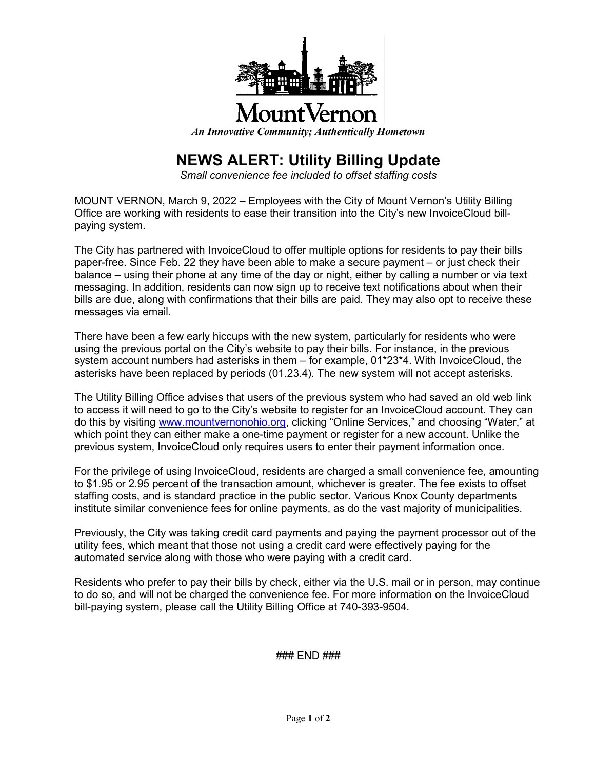

## ountVernot

*An Innovative Community; Authentically Hometown*

## **NEWS ALERT: Utility Billing Update**

*Small convenience fee included to offset staffing costs*

MOUNT VERNON, March 9, 2022 – Employees with the City of Mount Vernon's Utility Billing Office are working with residents to ease their transition into the City's new InvoiceCloud billpaying system.

The City has partnered with InvoiceCloud to offer multiple options for residents to pay their bills paper-free. Since Feb. 22 they have been able to make a secure payment – or just check their balance – using their phone at any time of the day or night, either by calling a number or via text messaging. In addition, residents can now sign up to receive text notifications about when their bills are due, along with confirmations that their bills are paid. They may also opt to receive these messages via email.

There have been a few early hiccups with the new system, particularly for residents who were using the previous portal on the City's website to pay their bills. For instance, in the previous system account numbers had asterisks in them – for example, 01\*23\*4. With InvoiceCloud, the asterisks have been replaced by periods (01.23.4). The new system will not accept asterisks.

The Utility Billing Office advises that users of the previous system who had saved an old web link to access it will need to go to the City's website to register for an InvoiceCloud account. They can do this by visiting [www.mountvernonohio.org,](http://www.mountvernonohio.org/) clicking "Online Services," and choosing "Water," at which point they can either make a one-time payment or register for a new account. Unlike the previous system, InvoiceCloud only requires users to enter their payment information once.

For the privilege of using InvoiceCloud, residents are charged a small convenience fee, amounting to \$1.95 or 2.95 percent of the transaction amount, whichever is greater. The fee exists to offset staffing costs, and is standard practice in the public sector. Various Knox County departments institute similar convenience fees for online payments, as do the vast majority of municipalities.

Previously, the City was taking credit card payments and paying the payment processor out of the utility fees, which meant that those not using a credit card were effectively paying for the automated service along with those who were paying with a credit card.

Residents who prefer to pay their bills by check, either via the U.S. mail or in person, may continue to do so, and will not be charged the convenience fee. For more information on the InvoiceCloud bill-paying system, please call the Utility Billing Office at 740-393-9504.

### END ###